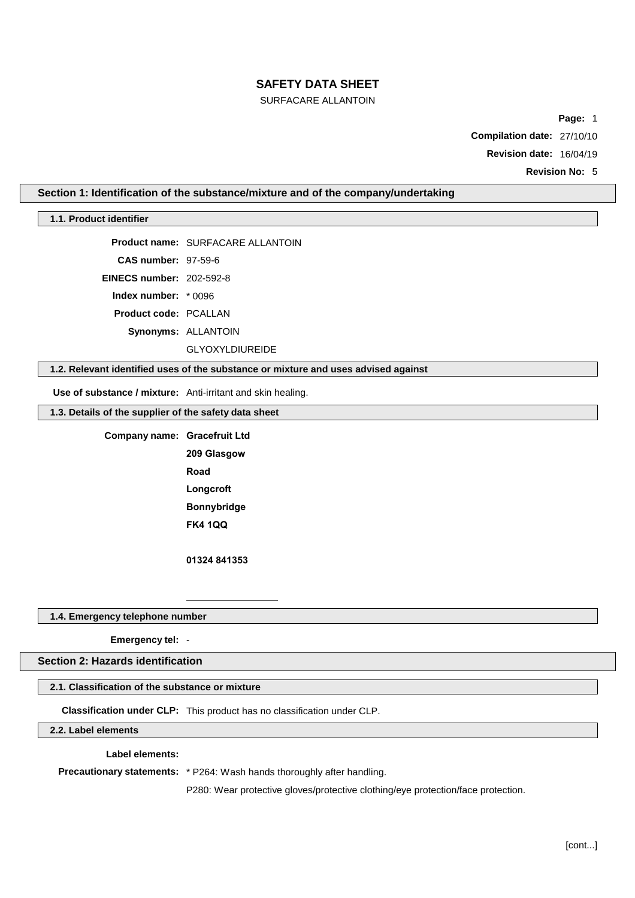# SURFACARE ALLANTOIN

**Page:** 1

**Compilation date:** 27/10/10

**Revision date:** 16/04/19

**Revision No:** 5

## **Section 1: Identification of the substance/mixture and of the company/undertaking**

## **1.1. Product identifier**

**Product name:** SURFACARE ALLANTOIN

**CAS number:** 97-59-6

**EINECS number:** 202-592-8

**Index number:** \* 0096

**Product code:** PCALLAN

**Synonyms:** ALLANTOIN

GLYOXYLDIUREIDE

# **1.2. Relevant identified uses of the substance or mixture and uses advised against**

**Use of substance / mixture:** Anti-irritant and skin healing.

**1.3. Details of the supplier of the safety data sheet**

**Company name: Gracefruit Ltd 209 Glasgow Road Longcroft Bonnybridge FK4 1QQ**

**01324 841353**

#### **1.4. Emergency telephone number**

**Emergency tel:** -

## **Section 2: Hazards identification**

## **2.1. Classification of the substance or mixture**

**Classification under CLP:** This product has no classification under CLP.

**2.2. Label elements**

### **Label elements:**

**Precautionary statements:** \* P264: Wash hands thoroughly after handling.

P280: Wear protective gloves/protective clothing/eye protection/face protection.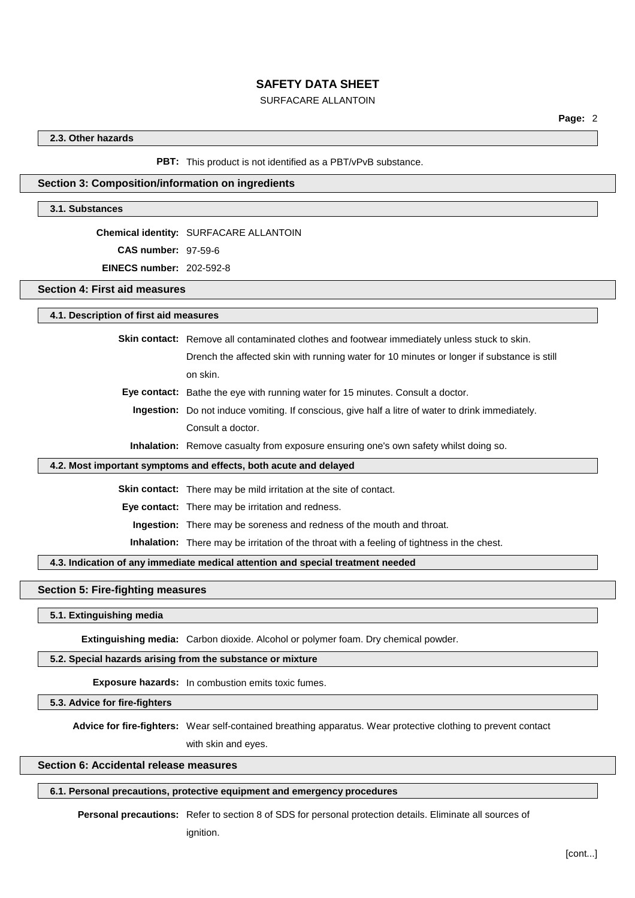## SURFACARE ALLANTOIN

### **2.3. Other hazards**

**PBT:** This product is not identified as a PBT/vPvB substance.

#### **Section 3: Composition/information on ingredients**

#### **3.1. Substances**

**Chemical identity:** SURFACARE ALLANTOIN

**CAS number:** 97-59-6

**EINECS number:** 202-592-8

**Section 4: First aid measures**

**4.1. Description of first aid measures**

**Skin contact:** Remove all contaminated clothes and footwear immediately unless stuck to skin. Drench the affected skin with running water for 10 minutes or longer if substance is still on skin.

**Eye contact:** Bathe the eye with running water for 15 minutes. Consult a doctor.

**Ingestion:** Do not induce vomiting. If conscious, give half a litre of water to drink immediately. Consult a doctor.

**Inhalation:** Remove casualty from exposure ensuring one's own safety whilst doing so.

#### **4.2. Most important symptoms and effects, both acute and delayed**

**Skin contact:** There may be mild irritation at the site of contact.

**Eye contact:** There may be irritation and redness.

**Ingestion:** There may be soreness and redness of the mouth and throat.

**Inhalation:** There may be irritation of the throat with a feeling of tightness in the chest.

#### **4.3. Indication of any immediate medical attention and special treatment needed**

## **Section 5: Fire-fighting measures**

**5.1. Extinguishing media**

**Extinguishing media:** Carbon dioxide. Alcohol or polymer foam. Dry chemical powder.

## **5.2. Special hazards arising from the substance or mixture**

**Exposure hazards:** In combustion emits toxic fumes.

**5.3. Advice for fire-fighters**

**Advice for fire-fighters:** Wear self-contained breathing apparatus. Wear protective clothing to prevent contact with skin and eyes.

#### **Section 6: Accidental release measures**

## **6.1. Personal precautions, protective equipment and emergency procedures**

**Personal precautions:** Refer to section 8 of SDS for personal protection details. Eliminate all sources of

ignition.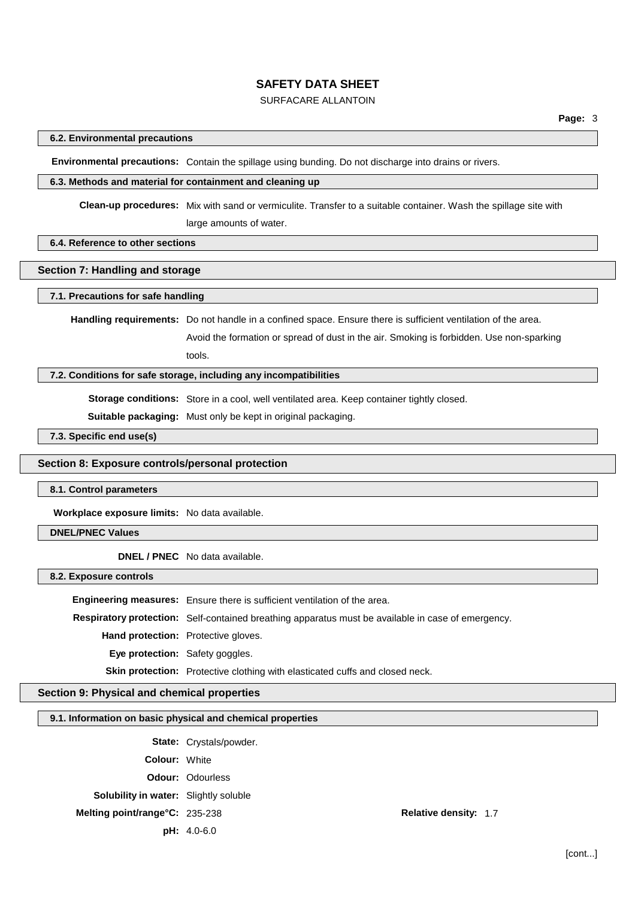# SURFACARE ALLANTOIN

## **6.2. Environmental precautions**

**Environmental precautions:** Contain the spillage using bunding. Do not discharge into drains or rivers.

#### **6.3. Methods and material for containment and cleaning up**

**Clean-up procedures:** Mix with sand or vermiculite. Transfer to a suitable container. Wash the spillage site with large amounts of water.

## **6.4. Reference to other sections**

### **Section 7: Handling and storage**

#### **7.1. Precautions for safe handling**

**Handling requirements:** Do not handle in a confined space. Ensure there is sufficient ventilation of the area.

Avoid the formation or spread of dust in the air. Smoking is forbidden. Use non-sparking tools.

#### **7.2. Conditions for safe storage, including any incompatibilities**

**Storage conditions:** Store in a cool, well ventilated area. Keep container tightly closed.

**Suitable packaging:** Must only be kept in original packaging.

**7.3. Specific end use(s)**

#### **Section 8: Exposure controls/personal protection**

#### **8.1. Control parameters**

**Workplace exposure limits:** No data available.

## **DNEL/PNEC Values**

**DNEL / PNEC** No data available.

**8.2. Exposure controls**

**Engineering measures:** Ensure there is sufficient ventilation of the area. **Respiratory protection:** Self-contained breathing apparatus must be available in case of emergency. **Hand protection:** Protective gloves. **Eye protection:** Safety goggles. **Skin protection:** Protective clothing with elasticated cuffs and closed neck.

## **Section 9: Physical and chemical properties**

# **9.1. Information on basic physical and chemical properties**

**State:** Crystals/powder. **Colour:** White **Odour:** Odourless **Solubility in water:** Slightly soluble **Melting point/range°C:** 235-238 **Relative density:** 1.7 **pH:** 4.0-6.0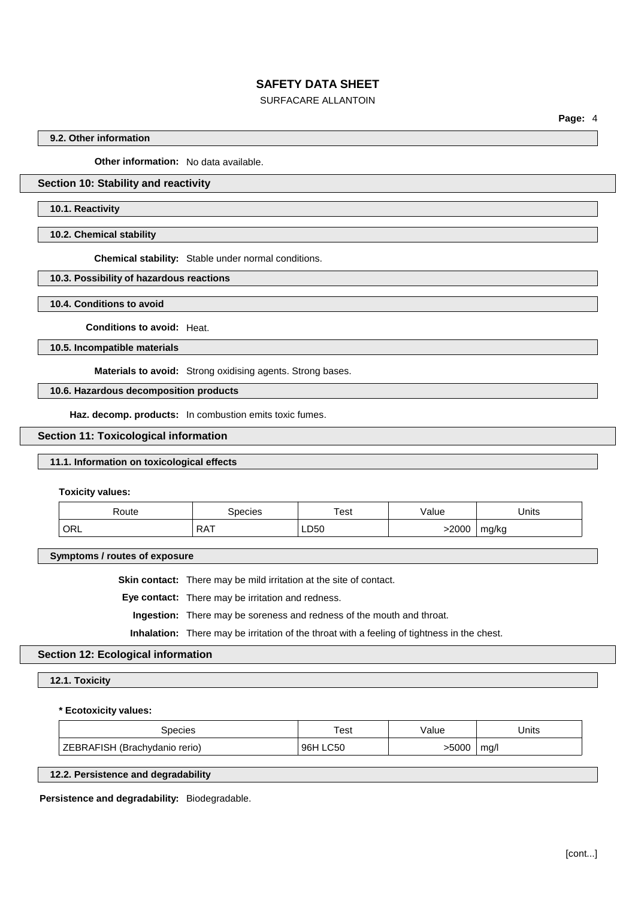# SURFACARE ALLANTOIN

**Page:** 4

## **9.2. Other information**

**Other information:** No data available.

# **Section 10: Stability and reactivity**

#### **10.1. Reactivity**

**10.2. Chemical stability**

**Chemical stability:** Stable under normal conditions.

#### **10.3. Possibility of hazardous reactions**

**10.4. Conditions to avoid**

**Conditions to avoid:** Heat.

**10.5. Incompatible materials**

**Materials to avoid:** Strong oxidising agents. Strong bases.

**10.6. Hazardous decomposition products**

**Haz. decomp. products:** In combustion emits toxic fumes.

### **Section 11: Toxicological information**

## **11.1. Information on toxicological effects**

**Toxicity values:**

| ≺oute              | pecies              | Test | /alue | Units      |
|--------------------|---------------------|------|-------|------------|
| $\overline{O}$ ORL | <b>DAT</b><br>ו הרו | LD50 | -2000 | mg/kg<br>÷ |

**Symptoms / routes of exposure**

**Skin contact:** There may be mild irritation at the site of contact.

**Eye contact:** There may be irritation and redness.

**Ingestion:** There may be soreness and redness of the mouth and throat.

**Inhalation:** There may be irritation of the throat with a feeling of tightness in the chest.

#### **Section 12: Ecological information**

#### **12.1. Toxicity**

**\* Ecotoxicity values:**

| ipecies                                      | Test        | /alue | Units |
|----------------------------------------------|-------------|-------|-------|
| <b>ZEBRAFISH</b><br>l (Brachydanio<br>rerio) | .C50<br>96F | -5000 | mg/l  |

## **12.2. Persistence and degradability**

**Persistence and degradability:** Biodegradable.